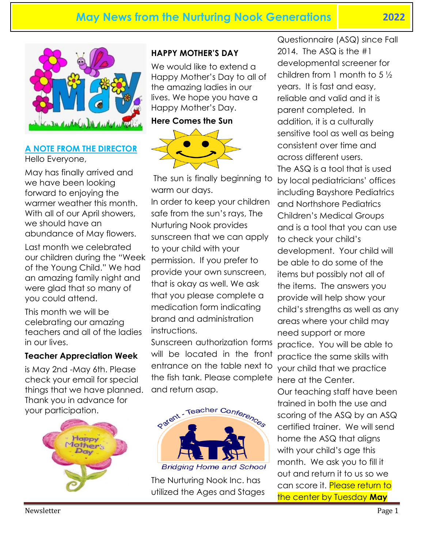

# **A NOTE FROM THE DIRECTOR**

Hello Everyone,

May has finally arrived and we have been looking forward to enjoying the warmer weather this month. With all of our April showers, we should have an abundance of May flowers.

Last month we celebrated our children during the "Week of the Young Child." We had an amazing family night and were glad that so many of you could attend.

This month we will be celebrating our amazing teachers and all of the ladies in our lives.

#### **Teacher Appreciation Week**

is May 2nd -May 6th. Please check your email for special things that we have planned. Thank you in advance for your participation.



#### **HAPPY MOTHER'S DAY**

We would like to extend a Happy Mother's Day to all of the amazing ladies in our lives. We hope you have a Happy Mother's Day.

#### **Here Comes the Sun**



The sun is finally beginning to warm our days. In order to keep your children safe from the sun's rays, The Nurturing Nook provides sunscreen that we can apply to your child with your permission. If you prefer to provide your own sunscreen, that is okay as well. We ask that you please complete a medication form indicating brand and administration

instructions. Sunscreen authorization forms will be located in the front entrance on the table next to the fish tank. Please complete and return asap.



**Bridging Home and School** 

The Nurturing Nook Inc. has utilized the Ages and Stages

Questionnaire (ASQ) since Fall 2014. The ASQ is the  $#1$ developmental screener for children from 1 month to 5 ½ years. It is fast and easy, reliable and valid and it is parent completed. In addition, it is a culturally sensitive tool as well as being consistent over time and across different users. The ASQ is a tool that is used by local pediatricians' offices including Bayshore Pediatrics and Northshore Pediatrics Children's Medical Groups and is a tool that you can use to check your child's development. Your child will be able to do some of the items but possibly not all of the items. The answers you provide will help show your child's strengths as well as any areas where your child may need support or more

practice. You will be able to practice the same skills with your child that we practice here at the Center. Our teaching staff have been trained in both the use and scoring of the ASQ by an ASQ

certified trainer. We will send home the ASQ that aligns with your child's age this month. We ask you to fill it out and return it to us so we can score it. Please return to the center by Tuesday **May**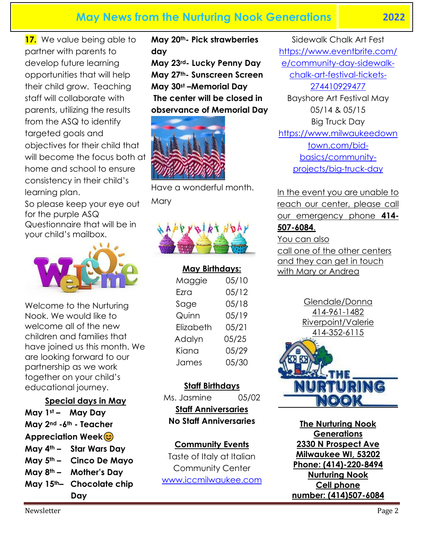**17.** We value being able to partner with parents to develop future learning opportunities that will help their child grow. Teaching staff will collaborate with parents, utilizing the results from the ASQ to identify targeted goals and objectives for their child that will become the focus both at home and school to ensure consistency in their child's learning plan.

So please keep your eye out for the purple ASQ Questionnaire that will be in your child's mailbox.



Welcome to the Nurturing Nook. We would like to welcome all of the new children and families that have joined us this month. We are looking forward to our partnership as we work together on your child's educational journey.

#### **Special days in May**

**May 1st – May Day May 2nd -6th - Teacher Appreciation Week May 4th – Star Wars Day May 5th – Cinco De Mayo May 8th – Mother's Day May 15th– Chocolate chip Day**

**May 20th- Pick strawberries day**

**May 23rd- Lucky Penny Day May 27th- Sunscreen Screen May 30st –Memorial Day The center will be closed in observance of Memorial Day**



Have a wonderful month. **Mary** 



**May Birthdays:** Maggie 05/10 Ezra 05/12 Sage 05/18 Quinn 05/19 Elizabeth 05/21 Adalyn 05/25 Kiana 05/29 James 05/30

#### **Staff Birthdays**

Ms. Jasmine 05/02

**Staff Anniversaries No Staff Anniversaries**

#### **Community Events**

Taste of Italy at Italian Community Center [www.iccmilwaukee.com](http://www.iccmilwaukee.com/)

Sidewalk Chalk Art Fest [https://www.eventbrite.com/](https://www.eventbrite.com/e/community-day-sidewalk-chalk-art-festival-tickets-274410929477) [e/community-day-sidewalk](https://www.eventbrite.com/e/community-day-sidewalk-chalk-art-festival-tickets-274410929477)[chalk-art-festival-tickets-](https://www.eventbrite.com/e/community-day-sidewalk-chalk-art-festival-tickets-274410929477)[274410929477](https://www.eventbrite.com/e/community-day-sidewalk-chalk-art-festival-tickets-274410929477) Bayshore Art Festival May 05/14 & 05/15 Big Truck Day [https://www.milwaukeedown](https://www.milwaukeedowntown.com/bid-basics/community-projects/big-truck-day) [town.com/bid](https://www.milwaukeedowntown.com/bid-basics/community-projects/big-truck-day)[basics/community](https://www.milwaukeedowntown.com/bid-basics/community-projects/big-truck-day)[projects/big-truck-day](https://www.milwaukeedowntown.com/bid-basics/community-projects/big-truck-day)

In the event you are unable to reach our center, please call our emergency phone **414- 507-6084**.

You can also call one of the other centers and they can get in touch with Mary or Andrea

> Glendale/Donna 414-961-1482 Riverpoint/Valerie 414-352-6115



**The Nurturing Nook Generations 2330 N Prospect Ave Milwaukee WI, 53202 Phone: (414)-220-8494 Nurturing Nook Cell phone number: (414)507-6084**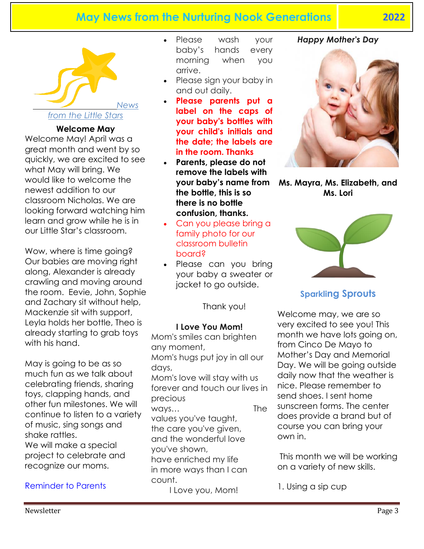

#### **Welcome May**

Welcome May! April was a great month and went by so quickly, we are excited to see what May will bring. We would like to welcome the newest addition to our classroom Nicholas. We are looking forward watching him learn and grow while he is in our Little Star's classroom.

Wow, where is time going? Our babies are moving right along, Alexander is already crawling and moving around the room. Eevie, John, Sophie and Zachary sit without help, Mackenzie sit with support, Leyla holds her bottle, Theo is already starting to grab toys with his hand.

May is going to be as so much fun as we talk about celebrating friends, sharing toys, clapping hands, and other fun milestones. We will continue to listen to a variety of music, sing songs and shake rattles. We will make a special project to celebrate and recognize our moms.

#### Reminder to Parents

- Please wash your baby's hands every morning when you arrive.
- Please sign your baby in and out daily.
- **Please parents put a label on the caps of your baby's bottles with your child's initials and the date; the labels are in the room. Thanks**
- **Parents, please do not remove the labels with your baby's name from the bottle, this is so there is no bottle confusion, thanks.**
- Can you please bring a family photo for our classroom bulletin board?
- Please can you bring your baby a sweater or jacket to go outside.

Thank you!

#### **I Love You Mom!**

Mom's smiles can brighten any moment, Mom's hugs put joy in all our days, Mom's love will stay with us forever and touch our lives in precious ways… The values you've taught, the care you've given, and the wonderful love you've shown, have enriched my life in more ways than I can count.

I Love you, Mom!

#### *Happy Mother's Day*



**Ms. Mayra, Ms. Elizabeth, and Ms. Lori**



#### **Sparkling Sprouts**

Welcome may, we are so very excited to see you! This month we have lots going on, from Cinco De Mayo to Mother's Day and Memorial Day. We will be going outside daily now that the weather is nice. Please remember to send shoes. I sent home sunscreen forms. The center does provide a brand but of course you can bring your own in.

This month we will be working on a variety of new skills.

1. Using a sip cup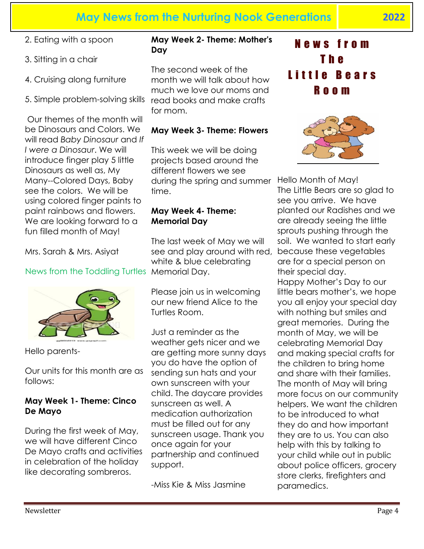- 2. Eating with a spoon
- 3. Sitting in a chair
- 4. Cruising along furniture
- 5. Simple problem-solving skills

Our themes of the month will be Dinosaurs and Colors. We will read *Baby Dinosaur* and *If I were a Dinosaur*. We will introduce finger play 5 little Dinosaurs as well as, My Many--Colored Days, Baby see the colors. We will be using colored finger paints to paint rainbows and flowers. We are looking forward to a fun filled month of May!

Mrs. Sarah & Mrs. Asiyat

#### News from the Toddling Turtles Memorial Day.



Hello parents-

Our units for this month are as follows:

#### **May Week 1- Theme: Cinco De Mayo**

During the first week of May, we will have different Cinco De Mayo crafts and activities in celebration of the holiday like decorating sombreros.

#### **May Week 2- Theme: Mother's Day**

The second week of the month we will talk about how much we love our moms and read books and make crafts for mom.

#### **May Week 3- Theme: Flowers**

This week we will be doing projects based around the different flowers we see during the spring and summer time.

#### **May Week 4- Theme: Memorial Day**

The last week of May we will see and play around with red, white & blue celebrating

Please join us in welcoming our new friend Alice to the Turtles Room.

Just a reminder as the weather gets nicer and we are getting more sunny days you do have the option of sending sun hats and your own sunscreen with your child. The daycare provides sunscreen as well. A medication authorization must be filled out for any sunscreen usage. Thank you once again for your partnership and continued support.

-Miss Kie & Miss Jasmine

N e w s f r o m T h e L i t t l e B e a r s R o o m



Hello Month of May! The Little Bears are so glad to see you arrive. We have planted our Radishes and we are already seeing the little sprouts pushing through the soil. We wanted to start early because these vegetables are for a special person on their special day. Happy Mother's Day to our little bears mother's, we hope you all enjoy your special day with nothing but smiles and great memories. During the month of May, we will be celebrating Memorial Day and making special crafts for the children to bring home and share with their families. The month of May will bring more focus on our community helpers. We want the children to be introduced to what they do and how important they are to us. You can also help with this by talking to your child while out in public about police officers, grocery store clerks, firefighters and paramedics.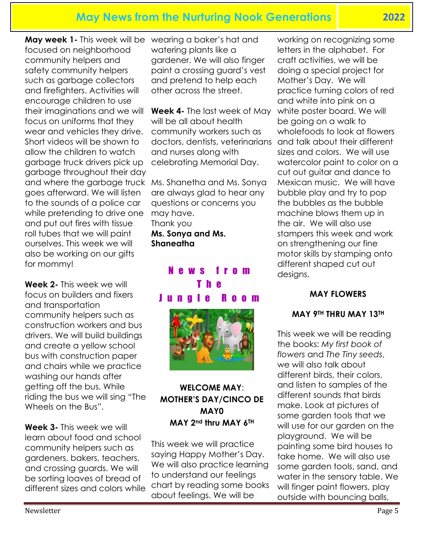**May week 1-** This week will be wearing a baker's hat and focused on neighborhood community helpers and safety community helpers such as garbage collectors and firefighters. Activities will encourage children to use their imaginations and we will focus on uniforms that they wear and vehicles they drive. Short videos will be shown to allow the children to watch garbage truck drivers pick up garbage throughout their day and where the garbage truck Ms. Shanetha and Ms. Sonya goes afterward. We will listen to the sounds of a police car while pretending to drive one and put out fires with tissue roll tubes that we will paint ourselves. This week we will also be working on our gifts for mommy!

**Week 2-** This week we will focus on builders and fixers and transportation community helpers such as construction workers and bus drivers. We will build buildings and create a yellow school bus with construction paper and chairs while we practice washing our hands after getting off the bus. While riding the bus we will sing "The Wheels on the Bus".

**Week 3-** This week we will learn about food and school community helpers such as gardeners, bakers, teachers, and crossing guards. We will be sorting loaves of bread of different sizes and colors while watering plants like a gardener. We will also finger paint a crossing guard's vest and pretend to help each other across the street.

**Week 4-** The last week of May will be all about health community workers such as doctors, dentists, veterinarians and talk about their different and nurses along with celebrating Memorial Day.

are always glad to hear any questions or concerns you may have. Thank you **Ms. Sonya and Ms. Shaneatha**

# N e w s f r o m T h e J u n g l e R o o m



#### **WELCOME MAY**: **MOTHER'S DAY/CINCO DE MAY0 MAY 2nd thru MAY 6TH**

This week we will practice saying Happy Mother's Day. We will also practice learning to understand our feelings chart by reading some books about feelings. We will be

working on recognizing some letters in the alphabet. For craft activities, we will be doing a special project for Mother's Day. We will practice turning colors of red and white into pink on a white poster board. We will be going on a walk to wholefoods to look at flowers sizes and colors. We will use watercolor paint to color on a cut out guitar and dance to Mexican music. We will have bubble play and try to pop the bubbles as the bubble machine blows them up in the air. We will also use stampers this week and work on strengthening our fine motor skills by stamping onto different shaped cut out designs.

#### **MAY FLOWERS**

#### **MAY 9TH THRU MAY 13TH**

This week we will be reading the books: *My first book of flowers* and *The Tiny seeds*, we will also talk about different birds, their colors, and listen to samples of the different sounds that birds make. Look at pictures of some garden tools that we will use for our garden on the playground. We will be painting some bird houses to take home. We will also use some garden tools, sand, and water in the sensory table. We will finger paint flowers, play outside with bouncing balls,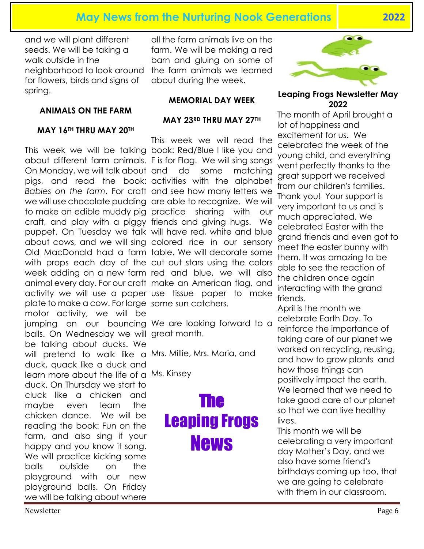and we will plant different seeds. We will be taking a walk outside in the for flowers, birds and signs of spring.

#### **ANIMALS ON THE FARM**

#### **MAY 16TH THRU MAY 20TH**

This week we will be talking book: Red/Blue I like you and about different farm animals. F is for Flag. We will sing songs On Monday, we will talk about and do some matching pigs, and read the book: activities with the alphabet *Babies on the farm*. For craft and see how many letters we we will use chocolate pudding are able to recognize. We will to make an edible muddy pig practice sharing with our craft, and play with a piggy friends and giving hugs. We puppet. On Tuesday we talk will have red, white and blue about cows, and we will sing colored rice in our sensory Old MacDonald had a farm table. We will decorate some with props each day of the cut out stars using the colors week adding on a new farm red and blue, we will also animal every day. For our craft make an American flag, and activity we will use a paper use tissue paper to make plate to make a cow. For large some sun catchers. motor activity, we will be jumping on our bouncing We are looking forward to a balls. On Wednesday we will great month. be talking about ducks. We will pretend to walk like a Mrs. Millie, Mrs. Maria, and duck, quack like a duck and learn more about the life of a Ms. Kinsey duck. On Thursday we start to cluck like a chicken and maybe even learn the chicken dance. We will be reading the book: Fun on the farm, and also sing if your happy and you know it song. We will practice kicking some balls outside on the playground with our new playground balls. On Friday we will be talking about where

neighborhood to look around the farm animals we learned all the farm animals live on the farm. We will be making a red barn and gluing on some of about during the week.

#### **MEMORIAL DAY WEEK**

#### **MAY 23RD THRU MAY 27TH**

This week we will read the

# The Leaping Frogs News



#### **Leaping Frogs Newsletter May 2022**

The month of April brought a lot of happiness and excitement for us. We celebrated the week of the young child, and everything went perfectly thanks to the great support we received from our children's families. Thank you! Your support is very important to us and is much appreciated. We celebrated Easter with the grand friends and even got to meet the easter bunny with them. It was amazing to be able to see the reaction of the children once again interacting with the grand friends.

April is the month we celebrate Earth Day. To reinforce the importance of taking care of our planet we worked on recycling, reusing, and how to grow plants and how those things can positively impact the earth. We learned that we need to take good care of our planet so that we can live healthy lives.

This month we will be celebrating a very important day Mother's Day, and we also have some friend's birthdays coming up too, that we are going to celebrate with them in our classroom.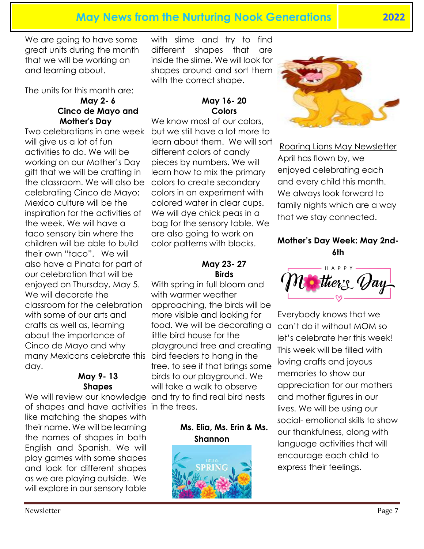We are going to have some great units during the month that we will be working on and learning about.

The units for this month are:

#### **May 2- 6 Cinco de Mayo and Mother's Day**

Two celebrations in one week will give us a lot of fun activities to do. We will be working on our Mother's Day gift that we will be crafting in the classroom. We will also be celebrating Cinco de Mayo; Mexico culture will be the inspiration for the activities of the week. We will have a taco sensory bin where the children will be able to build their own "taco". We will also have a Pinata for part of our celebration that will be enjoyed on Thursday, May 5. We will decorate the classroom for the celebration with some of our arts and crafts as well as, learning about the importance of Cinco de Mayo and why many Mexicans celebrate this bird feeders to hang in the day.

#### **May 9- 13 Shapes**

of shapes and have activities in the trees. like matching the shapes with their name. We will be learning

the names of shapes in both English and Spanish. We will play games with some shapes and look for different shapes as we are playing outside. We will explore in our sensory table

with slime and try to find different shapes that are inside the slime. We will look for shapes around and sort them with the correct shape.

# **May 16- 20 Colors**

We know most of our colors, but we still have a lot more to learn about them. We will sort different colors of candy pieces by numbers. We will learn how to mix the primary colors to create secondary colors in an experiment with colored water in clear cups. We will dye chick peas in a bag for the sensory table. We are also going to work on color patterns with blocks.

#### **May 23- 27 Birds**

We will review our knowledge and try to find real bird nests With spring in full bloom and with warmer weather approaching, the birds will be more visible and looking for food. We will be decorating a little bird house for the playground tree and creating tree, to see if that brings some birds to our playground. We will take a walk to observe

#### **Ms. Elia, Ms. Erin & Ms. Shannon**





Roaring Lions May Newsletter April has flown by, we enjoyed celebrating each and every child this month. We always look forward to family nights which are a way that we stay connected.

#### **Mother's Day Week: May 2nd-6th**



Everybody knows that we can't do it without MOM so let's celebrate her this week! This week will be filled with loving crafts and joyous memories to show our appreciation for our mothers and mother figures in our lives. We will be using our social- emotional skills to show our thankfulness, along with language activities that will encourage each child to express their feelings.